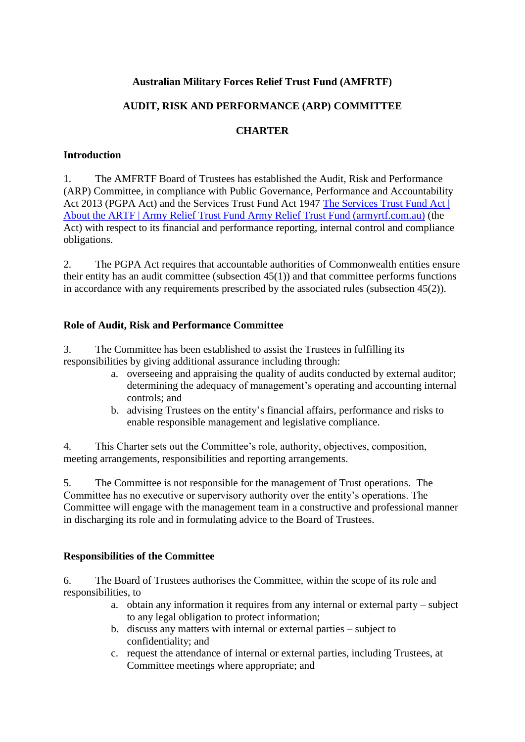## **Australian Military Forces Relief Trust Fund (AMFRTF)**

## **AUDIT, RISK AND PERFORMANCE (ARP) COMMITTEE**

### **CHARTER**

### **Introduction**

1. The AMFRTF Board of Trustees has established the Audit, Risk and Performance (ARP) Committee, in compliance with Public Governance, Performance and Accountability Act 2013 (PGPA Act) and the Services Trust Fund Act 1947 The Services Trust Fund Act | [About the ARTF | Army Relief Trust Fund](https://armyrtf.com.au/about-the-artf/services-trust-fund-act/) Army Relief Trust Fund (armyrtf.com.au) (the Act) with respect to its financial and performance reporting, internal control and compliance obligations.

2. The PGPA Act requires that accountable authorities of Commonwealth entities ensure their entity has an audit committee (subsection 45(1)) and that committee performs functions in accordance with any requirements prescribed by the associated rules (subsection 45(2)).

#### **Role of Audit, Risk and Performance Committee**

3. The Committee has been established to assist the Trustees in fulfilling its responsibilities by giving additional assurance including through:

- a. overseeing and appraising the quality of audits conducted by external auditor; determining the adequacy of management's operating and accounting internal controls; and
- b. advising Trustees on the entity's financial affairs, performance and risks to enable responsible management and legislative compliance.

4. This Charter sets out the Committee's role, authority, objectives, composition, meeting arrangements, responsibilities and reporting arrangements.

5. The Committee is not responsible for the management of Trust operations. The Committee has no executive or supervisory authority over the entity's operations. The Committee will engage with the management team in a constructive and professional manner in discharging its role and in formulating advice to the Board of Trustees.

#### **Responsibilities of the Committee**

6. The Board of Trustees authorises the Committee, within the scope of its role and responsibilities, to

- a. obtain any information it requires from any internal or external party subject to any legal obligation to protect information;
- b. discuss any matters with internal or external parties subject to confidentiality; and
- c. request the attendance of internal or external parties, including Trustees, at Committee meetings where appropriate; and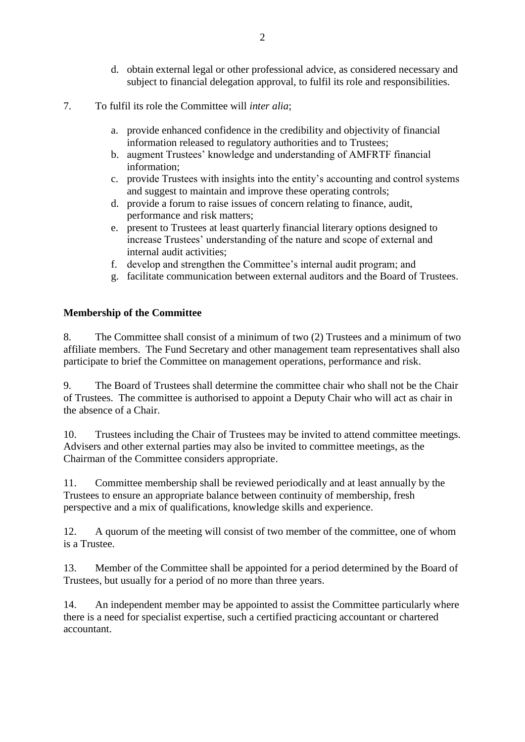- d. obtain external legal or other professional advice, as considered necessary and subject to financial delegation approval, to fulfil its role and responsibilities.
- 7. To fulfil its role the Committee will *inter alia*;
	- a. provide enhanced confidence in the credibility and objectivity of financial information released to regulatory authorities and to Trustees;
	- b. augment Trustees' knowledge and understanding of AMFRTF financial information;
	- c. provide Trustees with insights into the entity's accounting and control systems and suggest to maintain and improve these operating controls;
	- d. provide a forum to raise issues of concern relating to finance, audit, performance and risk matters;
	- e. present to Trustees at least quarterly financial literary options designed to increase Trustees' understanding of the nature and scope of external and internal audit activities;
	- f. develop and strengthen the Committee's internal audit program; and
	- g. facilitate communication between external auditors and the Board of Trustees.

### **Membership of the Committee**

8. The Committee shall consist of a minimum of two (2) Trustees and a minimum of two affiliate members. The Fund Secretary and other management team representatives shall also participate to brief the Committee on management operations, performance and risk.

9. The Board of Trustees shall determine the committee chair who shall not be the Chair of Trustees. The committee is authorised to appoint a Deputy Chair who will act as chair in the absence of a Chair.

10. Trustees including the Chair of Trustees may be invited to attend committee meetings. Advisers and other external parties may also be invited to committee meetings, as the Chairman of the Committee considers appropriate.

11. Committee membership shall be reviewed periodically and at least annually by the Trustees to ensure an appropriate balance between continuity of membership, fresh perspective and a mix of qualifications, knowledge skills and experience.

12. A quorum of the meeting will consist of two member of the committee, one of whom is a Trustee.

13. Member of the Committee shall be appointed for a period determined by the Board of Trustees, but usually for a period of no more than three years.

14. An independent member may be appointed to assist the Committee particularly where there is a need for specialist expertise, such a certified practicing accountant or chartered accountant.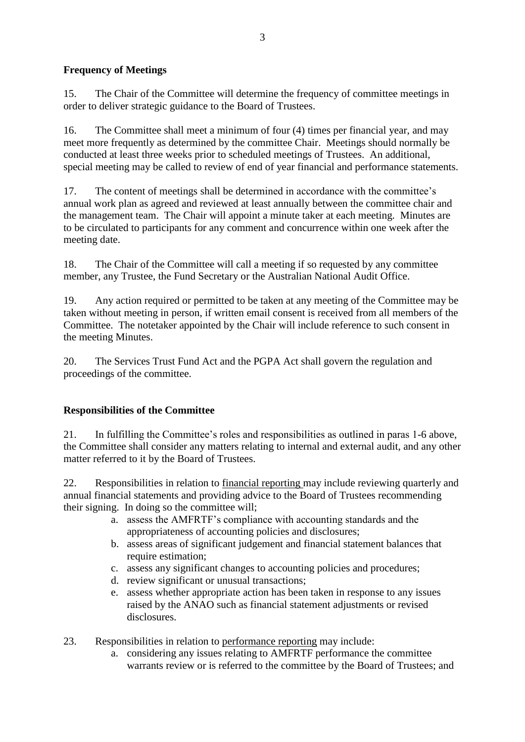# **Frequency of Meetings**

15. The Chair of the Committee will determine the frequency of committee meetings in order to deliver strategic guidance to the Board of Trustees.

16. The Committee shall meet a minimum of four (4) times per financial year, and may meet more frequently as determined by the committee Chair. Meetings should normally be conducted at least three weeks prior to scheduled meetings of Trustees. An additional, special meeting may be called to review of end of year financial and performance statements.

17. The content of meetings shall be determined in accordance with the committee's annual work plan as agreed and reviewed at least annually between the committee chair and the management team. The Chair will appoint a minute taker at each meeting. Minutes are to be circulated to participants for any comment and concurrence within one week after the meeting date.

18. The Chair of the Committee will call a meeting if so requested by any committee member, any Trustee, the Fund Secretary or the Australian National Audit Office.

19. Any action required or permitted to be taken at any meeting of the Committee may be taken without meeting in person, if written email consent is received from all members of the Committee. The notetaker appointed by the Chair will include reference to such consent in the meeting Minutes.

20. The Services Trust Fund Act and the PGPA Act shall govern the regulation and proceedings of the committee.

# **Responsibilities of the Committee**

21. In fulfilling the Committee's roles and responsibilities as outlined in paras 1-6 above, the Committee shall consider any matters relating to internal and external audit, and any other matter referred to it by the Board of Trustees.

22. Responsibilities in relation to financial reporting may include reviewing quarterly and annual financial statements and providing advice to the Board of Trustees recommending their signing. In doing so the committee will;

- a. assess the AMFRTF's compliance with accounting standards and the appropriateness of accounting policies and disclosures;
- b. assess areas of significant judgement and financial statement balances that require estimation:
- c. assess any significant changes to accounting policies and procedures;
- d. review significant or unusual transactions;
- e. assess whether appropriate action has been taken in response to any issues raised by the ANAO such as financial statement adjustments or revised disclosures.
- 23. Responsibilities in relation to performance reporting may include:
	- a. considering any issues relating to AMFRTF performance the committee warrants review or is referred to the committee by the Board of Trustees; and